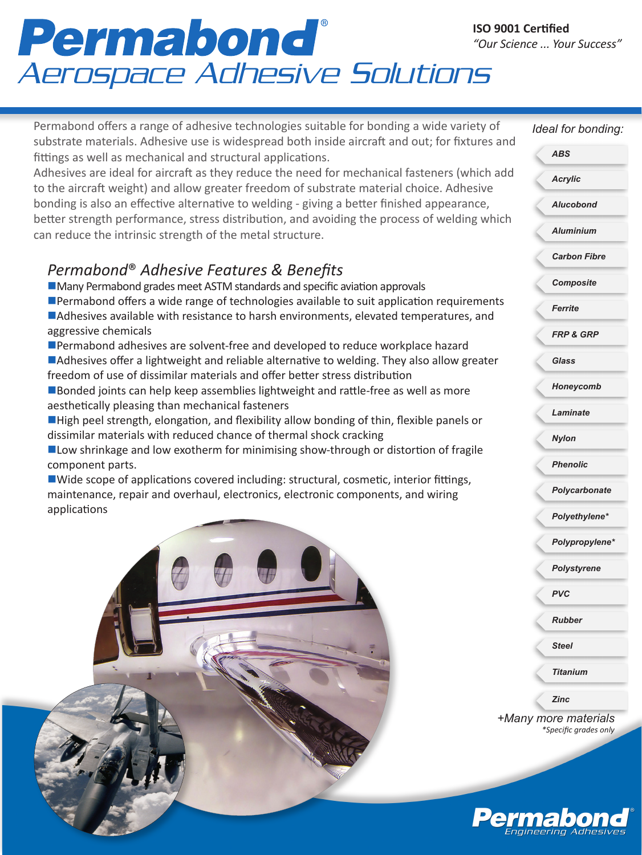# Permabond<sup>®</sup>

Permabond offers a range of adhesive technologies suitable for bonding a wide variety of substrate materials. Adhesive use is widespread both inside aircraft and out; for fixtures and fittings as well as mechanical and structural applications.

Adhesives are ideal for aircraft as they reduce the need for mechanical fasteners (which add to the aircraft weight) and allow greater freedom of substrate material choice. Adhesive bonding is also an effective alternative to welding - giving a better finished appearance, better strength performance, stress distribution, and avoiding the process of welding which can reduce the intrinsic strength of the metal structure.

### *Permabond*® *Adhesive Features & Benefits*

 $\blacksquare$  Many Permabond grades meet ASTM standards and specific aviation approvals

- **n**Permabond offers a wide range of technologies available to suit application requirements **nadhesives available with resistance to harsh environments, elevated temperatures, and** aggressive chemicals
- ■Permabond adhesives are solvent-free and developed to reduce workplace hazard **nadhesives offer a lightweight and reliable alternative to welding. They also allow greater** freedom of use of dissimilar materials and offer better stress distribution
- **n**Bonded joints can help keep assemblies lightweight and rattle-free as well as more aesthetically pleasing than mechanical fasteners
- **High peel strength, elongation, and flexibility allow bonding of thin, flexible panels or** dissimilar materials with reduced chance of thermal shock cracking
- $\blacksquare$  Low shrinkage and low exotherm for minimising show-through or distortion of fragile component parts.

 $\blacksquare$  Wide scope of applications covered including: structural, cosmetic, interior fittings, maintenance, repair and overhaul, electronics, electronic components, and wiring applications



*+Many more materials \*Specific grades only Ideal for bonding: Acrylic Alucobond Aluminium Carbon Fibre Composite Ferrite FRP & GRP Glass Honeycomb Laminate Nylon Phenolic Polycarbonate Polyethylene\* Polypropylene\* Polystyrene PVC Rubber Steel Titanium ABS Zinc*